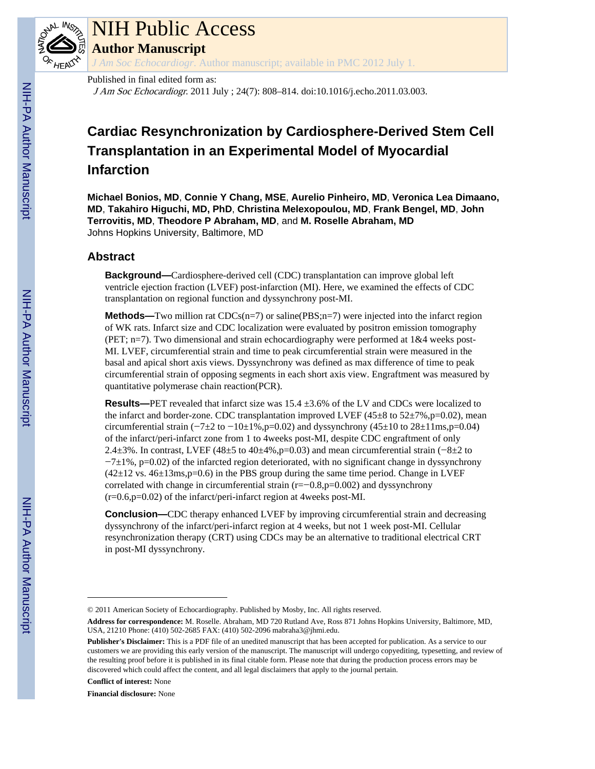

# NIH Public Access

**Author Manuscript**

*J Am Soc Echocardiogr*. Author manuscript; available in PMC 2012 July 1.

#### Published in final edited form as:

J Am Soc Echocardiogr. 2011 July ; 24(7): 808–814. doi:10.1016/j.echo.2011.03.003.

## **Cardiac Resynchronization by Cardiosphere-Derived Stem Cell Transplantation in an Experimental Model of Myocardial Infarction**

**Michael Bonios, MD**, **Connie Y Chang, MSE**, **Aurelio Pinheiro, MD**, **Veronica Lea Dimaano, MD**, **Takahiro Higuchi, MD, PhD**, **Christina Melexopoulou, MD**, **Frank Bengel, MD**, **John Terrovitis, MD**, **Theodore P Abraham, MD**, and **M. Roselle Abraham, MD** Johns Hopkins University, Baltimore, MD

## **Abstract**

**Background—**Cardiosphere-derived cell (CDC) transplantation can improve global left ventricle ejection fraction (LVEF) post-infarction (MI). Here, we examined the effects of CDC transplantation on regional function and dyssynchrony post-MI.

**Methods—Two million rat**  $CDCs(n=7)$  **or saline(** $PBS; n=7$ **) were injected into the infarct region** of WK rats. Infarct size and CDC localization were evaluated by positron emission tomography (PET; n=7). Two dimensional and strain echocardiography were performed at 1&4 weeks post-MI. LVEF, circumferential strain and time to peak circumferential strain were measured in the basal and apical short axis views. Dyssynchrony was defined as max difference of time to peak circumferential strain of opposing segments in each short axis view. Engraftment was measured by quantitative polymerase chain reaction(PCR).

**Results—**PET revealed that infarct size was 15.4 ±3.6% of the LV and CDCs were localized to the infarct and border-zone. CDC transplantation improved LVEF ( $45\pm8$  to  $52\pm7\%$ , p=0.02), mean circumferential strain ( $-7\pm2$  to  $-10\pm1\%$ , p=0.02) and dyssynchrony (45 $\pm10$  to 28 $\pm11$ ms, p=0.04) of the infarct/peri-infarct zone from 1 to 4weeks post-MI, despite CDC engraftment of only 2.4±3%. In contrast, LVEF (48±5 to 40±4%,p=0.03) and mean circumferential strain (−8±2 to −7±1%, p=0.02) of the infarcted region deteriorated, with no significant change in dyssynchrony  $(42\pm12 \text{ vs. } 46\pm13 \text{ ms}, p=0.6)$  in the PBS group during the same time period. Change in LVEF correlated with change in circumferential strain (r=−0.8,p=0.002) and dyssynchrony (r=0.6,p=0.02) of the infarct/peri-infarct region at 4weeks post-MI.

**Conclusion—CDC** therapy enhanced LVEF by improving circumferential strain and decreasing dyssynchrony of the infarct/peri-infarct region at 4 weeks, but not 1 week post-MI. Cellular resynchronization therapy (CRT) using CDCs may be an alternative to traditional electrical CRT in post-MI dyssynchrony.

**Conflict of interest:** None

**Financial disclosure:** None

<sup>© 2011</sup> American Society of Echocardiography. Published by Mosby, Inc. All rights reserved.

**Address for correspondence:** M. Roselle. Abraham, MD 720 Rutland Ave, Ross 871 Johns Hopkins University, Baltimore, MD, USA, 21210 Phone: (410) 502-2685 FAX: (410) 502-2096 mabraha3@jhmi.edu.

**Publisher's Disclaimer:** This is a PDF file of an unedited manuscript that has been accepted for publication. As a service to our customers we are providing this early version of the manuscript. The manuscript will undergo copyediting, typesetting, and review of the resulting proof before it is published in its final citable form. Please note that during the production process errors may be discovered which could affect the content, and all legal disclaimers that apply to the journal pertain.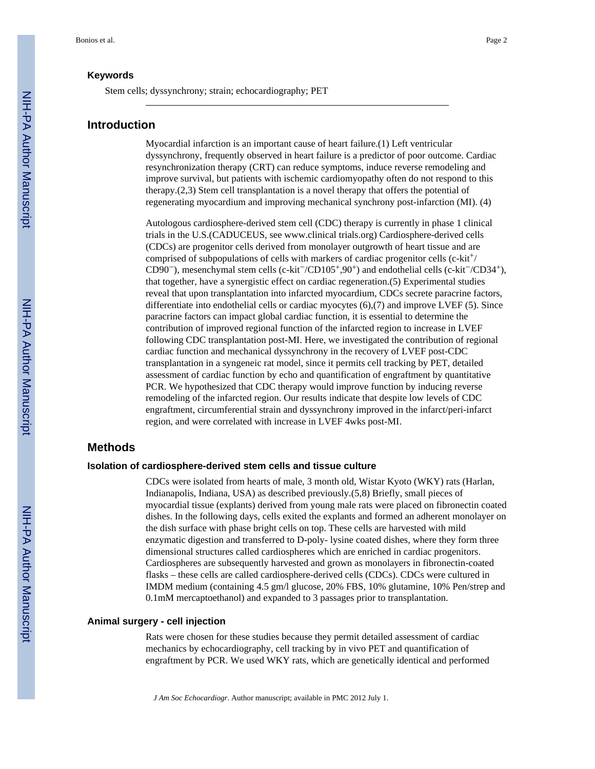Stem cells; dyssynchrony; strain; echocardiography; PET

#### **Introduction**

Myocardial infarction is an important cause of heart failure.(1) Left ventricular dyssynchrony, frequently observed in heart failure is a predictor of poor outcome. Cardiac resynchronization therapy (CRT) can reduce symptoms, induce reverse remodeling and improve survival, but patients with ischemic cardiomyopathy often do not respond to this therapy.(2,3) Stem cell transplantation is a novel therapy that offers the potential of regenerating myocardium and improving mechanical synchrony post-infarction (MI). (4)

Autologous cardiosphere-derived stem cell (CDC) therapy is currently in phase 1 clinical trials in the U.S.(CADUCEUS, see www.clinical trials.org) Cardiosphere-derived cells (CDCs) are progenitor cells derived from monolayer outgrowth of heart tissue and are comprised of subpopulations of cells with markers of cardiac progenitor cells  $(c-kit^+)$ CD90−), mesenchymal stem cells (c-kit−/CD105+,90+) and endothelial cells (c-kit−/CD34+), that together, have a synergistic effect on cardiac regeneration.(5) Experimental studies reveal that upon transplantation into infarcted myocardium, CDCs secrete paracrine factors, differentiate into endothelial cells or cardiac myocytes (6),(7) and improve LVEF (5). Since paracrine factors can impact global cardiac function, it is essential to determine the contribution of improved regional function of the infarcted region to increase in LVEF following CDC transplantation post-MI. Here, we investigated the contribution of regional cardiac function and mechanical dyssynchrony in the recovery of LVEF post-CDC transplantation in a syngeneic rat model, since it permits cell tracking by PET, detailed assessment of cardiac function by echo and quantification of engraftment by quantitative PCR. We hypothesized that CDC therapy would improve function by inducing reverse remodeling of the infarcted region. Our results indicate that despite low levels of CDC engraftment, circumferential strain and dyssynchrony improved in the infarct/peri-infarct region, and were correlated with increase in LVEF 4wks post-MI.

#### **Methods**

#### **Isolation of cardiosphere-derived stem cells and tissue culture**

CDCs were isolated from hearts of male, 3 month old, Wistar Kyoto (WKY) rats (Harlan, Indianapolis, Indiana, USA) as described previously.(5,8) Briefly, small pieces of myocardial tissue (explants) derived from young male rats were placed on fibronectin coated dishes. In the following days, cells exited the explants and formed an adherent monolayer on the dish surface with phase bright cells on top. These cells are harvested with mild enzymatic digestion and transferred to D-poly- lysine coated dishes, where they form three dimensional structures called cardiospheres which are enriched in cardiac progenitors. Cardiospheres are subsequently harvested and grown as monolayers in fibronectin-coated flasks – these cells are called cardiosphere-derived cells (CDCs). CDCs were cultured in IMDM medium (containing 4.5 gm/l glucose, 20% FBS, 10% glutamine, 10% Pen/strep and 0.1mM mercaptoethanol) and expanded to 3 passages prior to transplantation.

#### **Animal surgery - cell injection**

Rats were chosen for these studies because they permit detailed assessment of cardiac mechanics by echocardiography, cell tracking by in vivo PET and quantification of engraftment by PCR. We used WKY rats, which are genetically identical and performed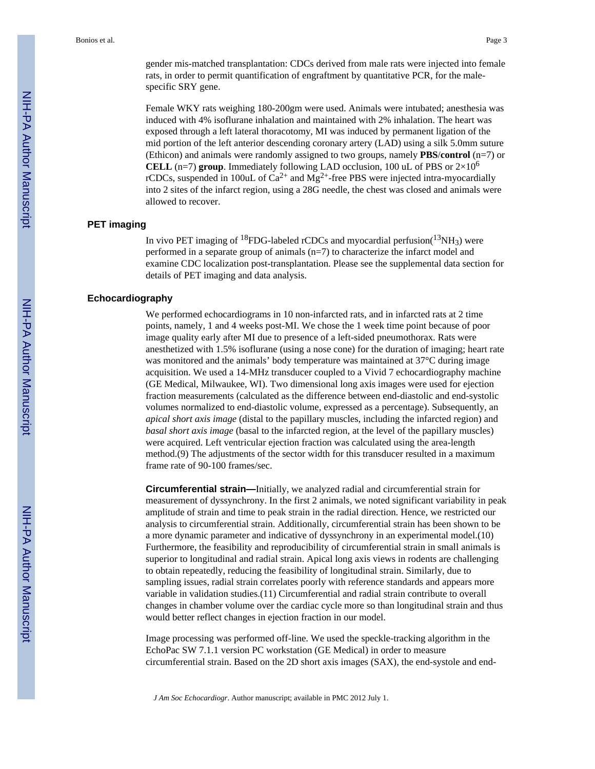Female WKY rats weighing 180-200gm were used. Animals were intubated; anesthesia was induced with 4% isoflurane inhalation and maintained with 2% inhalation. The heart was exposed through a left lateral thoracotomy, MI was induced by permanent ligation of the mid portion of the left anterior descending coronary artery (LAD) using a silk 5.0mm suture (Ethicon) and animals were randomly assigned to two groups, namely **PBS**/**control** (n=7) or **CELL** (n=7) **group**. Immediately following LAD occlusion, 100 uL of PBS or  $2\times10^6$ rCDCs, suspended in 100uL of  $Ca^{2+}$  and  $Mg^{2+}$ -free PBS were injected intra-myocardially into 2 sites of the infarct region, using a 28G needle, the chest was closed and animals were allowed to recover.

#### **PET imaging**

In vivo PET imaging of <sup>18</sup>FDG-labeled rCDCs and myocardial perfusion( $^{13}NH_3$ ) were performed in a separate group of animals (n=7) to characterize the infarct model and examine CDC localization post-transplantation. Please see the supplemental data section for details of PET imaging and data analysis.

#### **Echocardiography**

We performed echocardiograms in 10 non-infarcted rats, and in infarcted rats at 2 time points, namely, 1 and 4 weeks post-MI. We chose the 1 week time point because of poor image quality early after MI due to presence of a left-sided pneumothorax. Rats were anesthetized with 1.5% isoflurane (using a nose cone) for the duration of imaging; heart rate was monitored and the animals' body temperature was maintained at 37°C during image acquisition. We used a 14-MHz transducer coupled to a Vivid 7 echocardiography machine (GE Medical, Milwaukee, WI). Two dimensional long axis images were used for ejection fraction measurements (calculated as the difference between end-diastolic and end-systolic volumes normalized to end-diastolic volume, expressed as a percentage). Subsequently, an *apical short axis image* (distal to the papillary muscles, including the infarcted region) and *basal short axis image* (basal to the infarcted region, at the level of the papillary muscles) were acquired. Left ventricular ejection fraction was calculated using the area-length method.(9) The adjustments of the sector width for this transducer resulted in a maximum frame rate of 90-100 frames/sec.

**Circumferential strain—**Initially, we analyzed radial and circumferential strain for measurement of dyssynchrony. In the first 2 animals, we noted significant variability in peak amplitude of strain and time to peak strain in the radial direction. Hence, we restricted our analysis to circumferential strain. Additionally, circumferential strain has been shown to be a more dynamic parameter and indicative of dyssynchrony in an experimental model.(10) Furthermore, the feasibility and reproducibility of circumferential strain in small animals is superior to longitudinal and radial strain. Apical long axis views in rodents are challenging to obtain repeatedly, reducing the feasibility of longitudinal strain. Similarly, due to sampling issues, radial strain correlates poorly with reference standards and appears more variable in validation studies.(11) Circumferential and radial strain contribute to overall changes in chamber volume over the cardiac cycle more so than longitudinal strain and thus would better reflect changes in ejection fraction in our model.

Image processing was performed off-line. We used the speckle-tracking algorithm in the EchoPac SW 7.1.1 version PC workstation (GE Medical) in order to measure circumferential strain. Based on the 2D short axis images (SAX), the end-systole and end-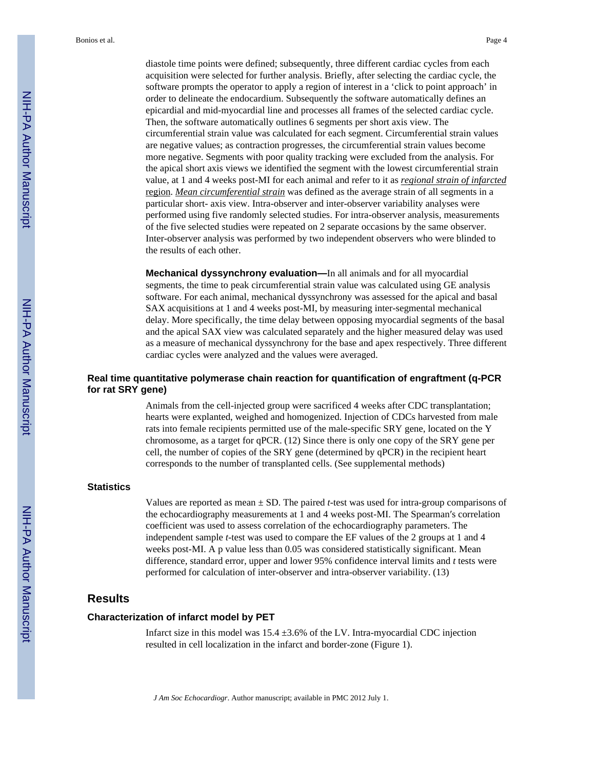diastole time points were defined; subsequently, three different cardiac cycles from each acquisition were selected for further analysis. Briefly, after selecting the cardiac cycle, the software prompts the operator to apply a region of interest in a 'click to point approach' in order to delineate the endocardium. Subsequently the software automatically defines an epicardial and mid-myocardial line and processes all frames of the selected cardiac cycle. Then, the software automatically outlines 6 segments per short axis view. The circumferential strain value was calculated for each segment. Circumferential strain values are negative values; as contraction progresses, the circumferential strain values become more negative. Segments with poor quality tracking were excluded from the analysis. For the apical short axis views we identified the segment with the lowest circumferential strain value, at 1 and 4 weeks post-MI for each animal and refer to it as *regional strain of infarcted* region. *Mean circumferential strain* was defined as the average strain of all segments in a particular short- axis view. Intra-observer and inter-observer variability analyses were performed using five randomly selected studies. For intra-observer analysis, measurements of the five selected studies were repeated on 2 separate occasions by the same observer. Inter-observer analysis was performed by two independent observers who were blinded to the results of each other.

**Mechanical dyssynchrony evaluation—**In all animals and for all myocardial segments, the time to peak circumferential strain value was calculated using GE analysis software. For each animal, mechanical dyssynchrony was assessed for the apical and basal SAX acquisitions at 1 and 4 weeks post-MI, by measuring inter-segmental mechanical delay. More specifically, the time delay between opposing myocardial segments of the basal and the apical SAX view was calculated separately and the higher measured delay was used as a measure of mechanical dyssynchrony for the base and apex respectively. Three different cardiac cycles were analyzed and the values were averaged.

## **Real time quantitative polymerase chain reaction for quantification of engraftment (q-PCR for rat SRY gene)**

Animals from the cell-injected group were sacrificed 4 weeks after CDC transplantation; hearts were explanted, weighed and homogenized. Injection of CDCs harvested from male rats into female recipients permitted use of the male-specific SRY gene, located on the Y chromosome, as a target for qPCR. (12) Since there is only one copy of the SRY gene per cell, the number of copies of the SRY gene (determined by qPCR) in the recipient heart corresponds to the number of transplanted cells. (See supplemental methods)

#### **Statistics**

Values are reported as mean  $\pm$  SD. The paired *t*-test was used for intra-group comparisons of the echocardiography measurements at 1 and 4 weeks post-MI. The Spearman′s correlation coefficient was used to assess correlation of the echocardiography parameters. The independent sample *t*-test was used to compare the EF values of the 2 groups at 1 and 4 weeks post-MI. A p value less than 0.05 was considered statistically significant. Mean difference, standard error, upper and lower 95% confidence interval limits and *t* tests were performed for calculation of inter-observer and intra-observer variability. (13)

## **Results**

#### **Characterization of infarct model by PET**

Infarct size in this model was  $15.4 \pm 3.6\%$  of the LV. Intra-myocardial CDC injection resulted in cell localization in the infarct and border-zone (Figure 1).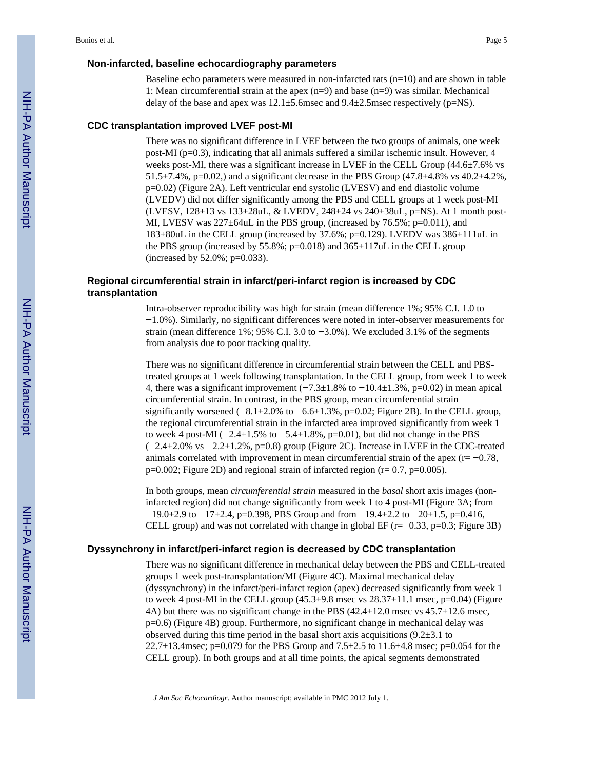#### **Non-infarcted, baseline echocardiography parameters**

Baseline echo parameters were measured in non-infarcted rats  $(n=10)$  and are shown in table 1: Mean circumferential strain at the apex (n=9) and base (n=9) was similar. Mechanical delay of the base and apex was  $12.1\pm5.6$  msec and  $9.4\pm2.5$  msec respectively (p=NS).

#### **CDC transplantation improved LVEF post-MI**

There was no significant difference in LVEF between the two groups of animals, one week post-MI ( $p=0.3$ ), indicating that all animals suffered a similar ischemic insult. However, 4 weeks post-MI, there was a significant increase in LVEF in the CELL Group  $(44.6\pm7.6\%$  vs 51.5 $\pm$ 7.4%, p=0.02,) and a significant decrease in the PBS Group (47.8 $\pm$ 4.8% vs 40.2 $\pm$ 4.2%, p=0.02) (Figure 2A). Left ventricular end systolic (LVESV) and end diastolic volume (LVEDV) did not differ significantly among the PBS and CELL groups at 1 week post-MI (LVESV, 128±13 vs 133±28uL, & LVEDV, 248±24 vs 240±38uL, p=NS). At 1 month post-MI, LVESV was  $227 \pm 64$ uL in the PBS group, (increased by 76.5%; p=0.011), and 183±80uL in the CELL group (increased by 37.6%; p=0.129). LVEDV was 386±111uL in the PBS group (increased by  $55.8\%$ ; p=0.018) and  $365\pm117$ uL in the CELL group (increased by 52.0%; p=0.033).

#### **Regional circumferential strain in infarct/peri-infarct region is increased by CDC transplantation**

Intra-observer reproducibility was high for strain (mean difference 1%; 95% C.I. 1.0 to −1.0%). Similarly, no significant differences were noted in inter-observer measurements for strain (mean difference 1%; 95% C.I. 3.0 to −3.0%). We excluded 3.1% of the segments from analysis due to poor tracking quality.

There was no significant difference in circumferential strain between the CELL and PBStreated groups at 1 week following transplantation. In the CELL group, from week 1 to week 4, there was a significant improvement  $(-7.3\pm1.8\%$  to  $-10.4\pm1.3\%$ , p=0.02) in mean apical circumferential strain. In contrast, in the PBS group, mean circumferential strain significantly worsened (−8.1±2.0% to −6.6±1.3%, p=0.02; Figure 2B). In the CELL group, the regional circumferential strain in the infarcted area improved significantly from week 1 to week 4 post-MI ( $-2.4\pm1.5\%$  to  $-5.4\pm1.8\%$ , p=0.01), but did not change in the PBS (−2.4±2.0% vs −2.2±1.2%, p=0.8) group (Figure 2C). Increase in LVEF in the CDC-treated animals correlated with improvement in mean circumferential strain of the apex (r= −0.78,  $p=0.002$ ; Figure 2D) and regional strain of infarcted region ( $r= 0.7$ ,  $p=0.005$ ).

In both groups, mean *circumferential strain* measured in the *basal* short axis images (noninfarcted region) did not change significantly from week 1 to 4 post-MI (Figure 3A; from  $-19.0\pm2.9$  to  $-17\pm2.4$ , p=0.398, PBS Group and from  $-19.4\pm2.2$  to  $-20\pm1.5$ , p=0.416, CELL group) and was not correlated with change in global EF  $(r=-0.33, p=0.3;$  Figure 3B)

#### **Dyssynchrony in infarct/peri-infarct region is decreased by CDC transplantation**

There was no significant difference in mechanical delay between the PBS and CELL-treated groups 1 week post-transplantation/MI (Figure 4C). Maximal mechanical delay (dyssynchrony) in the infarct/peri-infarct region (apex) decreased significantly from week 1 to week 4 post-MI in the CELL group  $(45.3\pm9.8 \text{ msec} \text{ vs } 28.37\pm11.1 \text{ msec}, p=0.04)$  (Figure 4A) but there was no significant change in the PBS  $(42.4 \pm 12.0 \text{ msec} \text{ vs } 45.7 \pm 12.6 \text{ msec})$ , p=0.6) (Figure 4B) group. Furthermore, no significant change in mechanical delay was observed during this time period in the basal short axis acquisitions  $(9.2\pm3.1$  to 22.7 $\pm$ 13.4msec; p=0.079 for the PBS Group and 7.5 $\pm$ 2.5 to 11.6 $\pm$ 4.8 msec; p=0.054 for the CELL group). In both groups and at all time points, the apical segments demonstrated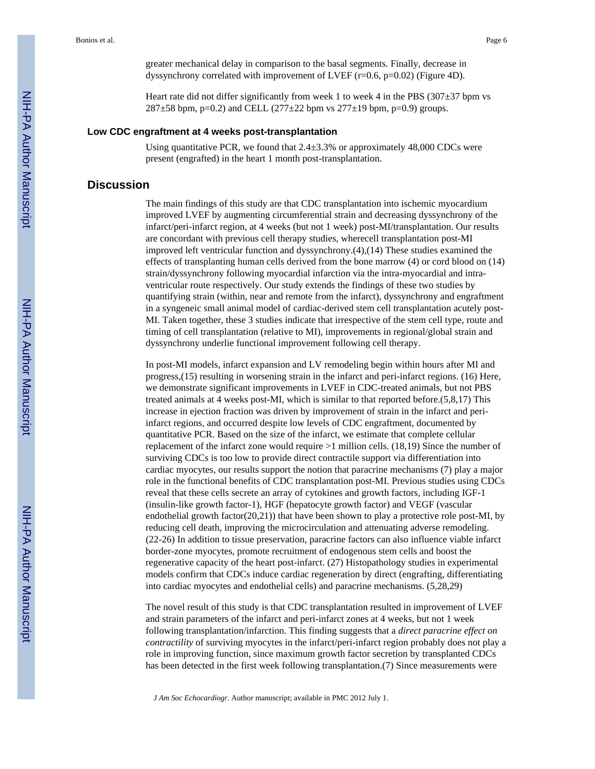greater mechanical delay in comparison to the basal segments. Finally, decrease in dyssynchrony correlated with improvement of LVEF (r=0.6, p=0.02) (Figure 4D).

Heart rate did not differ significantly from week 1 to week 4 in the PBS ( $307\pm37$  bpm vs  $287\pm58$  bpm, p=0.2) and CELL (277 $\pm$ 22 bpm vs 277 $\pm$ 19 bpm, p=0.9) groups.

#### **Low CDC engraftment at 4 weeks post-transplantation**

Using quantitative PCR, we found that  $2.4 \pm 3.3\%$  or approximately 48,000 CDCs were present (engrafted) in the heart 1 month post-transplantation.

## **Discussion**

The main findings of this study are that CDC transplantation into ischemic myocardium improved LVEF by augmenting circumferential strain and decreasing dyssynchrony of the infarct/peri-infarct region, at 4 weeks (but not 1 week) post-MI/transplantation. Our results are concordant with previous cell therapy studies, wherecell transplantation post-MI improved left ventricular function and dyssynchrony.(4),(14) These studies examined the effects of transplanting human cells derived from the bone marrow (4) or cord blood on (14) strain/dyssynchrony following myocardial infarction via the intra-myocardial and intraventricular route respectively. Our study extends the findings of these two studies by quantifying strain (within, near and remote from the infarct), dyssynchrony and engraftment in a syngeneic small animal model of cardiac-derived stem cell transplantation acutely post-MI. Taken together, these 3 studies indicate that irrespective of the stem cell type, route and timing of cell transplantation (relative to MI), improvements in regional/global strain and dyssynchrony underlie functional improvement following cell therapy.

In post-MI models, infarct expansion and LV remodeling begin within hours after MI and progress,(15) resulting in worsening strain in the infarct and peri-infarct regions. (16) Here, we demonstrate significant improvements in LVEF in CDC-treated animals, but not PBS treated animals at 4 weeks post-MI, which is similar to that reported before.(5,8,17) This increase in ejection fraction was driven by improvement of strain in the infarct and periinfarct regions, and occurred despite low levels of CDC engraftment, documented by quantitative PCR. Based on the size of the infarct, we estimate that complete cellular replacement of the infarct zone would require >1 million cells. (18,19) Since the number of surviving CDCs is too low to provide direct contractile support via differentiation into cardiac myocytes, our results support the notion that paracrine mechanisms (7) play a major role in the functional benefits of CDC transplantation post-MI. Previous studies using CDCs reveal that these cells secrete an array of cytokines and growth factors, including IGF-1 (insulin-like growth factor-1), HGF (hepatocyte growth factor) and VEGF (vascular endothelial growth factor(20,21)) that have been shown to play a protective role post-MI, by reducing cell death, improving the microcirculation and attenuating adverse remodeling. (22-26) In addition to tissue preservation, paracrine factors can also influence viable infarct border-zone myocytes, promote recruitment of endogenous stem cells and boost the regenerative capacity of the heart post-infarct. (27) Histopathology studies in experimental models confirm that CDCs induce cardiac regeneration by direct (engrafting, differentiating into cardiac myocytes and endothelial cells) and paracrine mechanisms. (5,28,29)

The novel result of this study is that CDC transplantation resulted in improvement of LVEF and strain parameters of the infarct and peri-infarct zones at 4 weeks, but not 1 week following transplantation/infarction. This finding suggests that a *direct paracrine effect on contractility* of surviving myocytes in the infarct/peri-infarct region probably does not play a role in improving function, since maximum growth factor secretion by transplanted CDCs has been detected in the first week following transplantation.(7) Since measurements were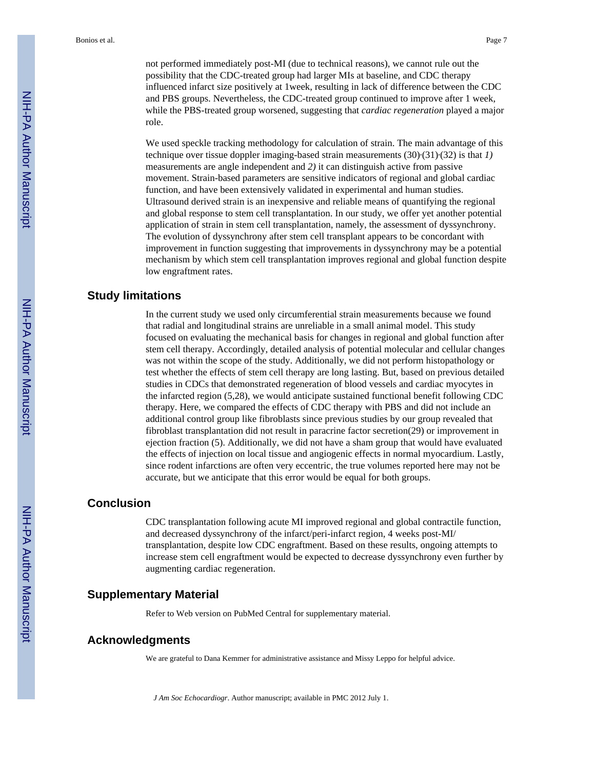not performed immediately post-MI (due to technical reasons), we cannot rule out the possibility that the CDC-treated group had larger MIs at baseline, and CDC therapy influenced infarct size positively at 1week, resulting in lack of difference between the CDC and PBS groups. Nevertheless, the CDC-treated group continued to improve after 1 week, while the PBS-treated group worsened, suggesting that *cardiac regeneration* played a major role.

We used speckle tracking methodology for calculation of strain. The main advantage of this technique over tissue doppler imaging-based strain measurements  $(30)(31)(32)$  is that *1*) measurements are angle independent and *2)* it can distinguish active from passive movement. Strain-based parameters are sensitive indicators of regional and global cardiac function, and have been extensively validated in experimental and human studies. Ultrasound derived strain is an inexpensive and reliable means of quantifying the regional and global response to stem cell transplantation. In our study, we offer yet another potential application of strain in stem cell transplantation, namely, the assessment of dyssynchrony. The evolution of dyssynchrony after stem cell transplant appears to be concordant with improvement in function suggesting that improvements in dyssynchrony may be a potential mechanism by which stem cell transplantation improves regional and global function despite low engraftment rates.

## **Study limitations**

In the current study we used only circumferential strain measurements because we found that radial and longitudinal strains are unreliable in a small animal model. This study focused on evaluating the mechanical basis for changes in regional and global function after stem cell therapy. Accordingly, detailed analysis of potential molecular and cellular changes was not within the scope of the study. Additionally, we did not perform histopathology or test whether the effects of stem cell therapy are long lasting. But, based on previous detailed studies in CDCs that demonstrated regeneration of blood vessels and cardiac myocytes in the infarcted region (5,28), we would anticipate sustained functional benefit following CDC therapy. Here, we compared the effects of CDC therapy with PBS and did not include an additional control group like fibroblasts since previous studies by our group revealed that fibroblast transplantation did not result in paracrine factor secretion(29) or improvement in ejection fraction (5). Additionally, we did not have a sham group that would have evaluated the effects of injection on local tissue and angiogenic effects in normal myocardium. Lastly, since rodent infarctions are often very eccentric, the true volumes reported here may not be accurate, but we anticipate that this error would be equal for both groups.

## **Conclusion**

CDC transplantation following acute MI improved regional and global contractile function, and decreased dyssynchrony of the infarct/peri-infarct region, 4 weeks post-MI/ transplantation, despite low CDC engraftment. Based on these results, ongoing attempts to increase stem cell engraftment would be expected to decrease dyssynchrony even further by augmenting cardiac regeneration.

## **Supplementary Material**

Refer to Web version on PubMed Central for supplementary material.

## **Acknowledgments**

We are grateful to Dana Kemmer for administrative assistance and Missy Leppo for helpful advice.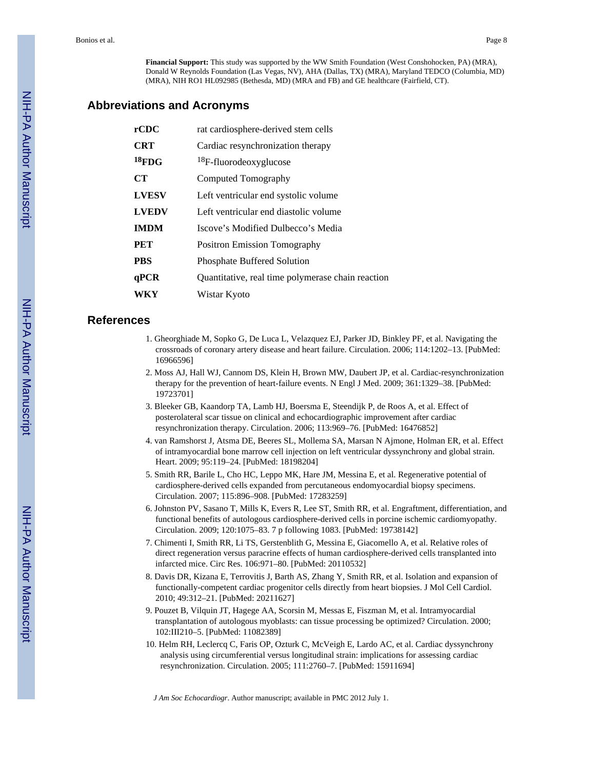**Financial Support:** This study was supported by the WW Smith Foundation (West Conshohocken, PA) (MRA), Donald W Reynolds Foundation (Las Vegas, NV), AHA (Dallas, TX) (MRA), Maryland TEDCO (Columbia, MD) (MRA), NIH RO1 HL092985 (Bethesda, MD) (MRA and FB) and GE healthcare (Fairfield, CT).

## **Abbreviations and Acronyms**

| rCDC         | rat cardiosphere-derived stem cells               |  |  |
|--------------|---------------------------------------------------|--|--|
| <b>CRT</b>   | Cardiac resynchronization therapy                 |  |  |
| $18$ FDG     | <sup>18</sup> F-fluorodeoxyglucose                |  |  |
| <b>CT</b>    | Computed Tomography                               |  |  |
| <b>LVESV</b> | Left ventricular end systolic volume              |  |  |
| <b>LVEDV</b> | Left ventricular end diastolic volume             |  |  |
| <b>IMDM</b>  | Iscove's Modified Dulbecco's Media                |  |  |
| PET          | <b>Positron Emission Tomography</b>               |  |  |
| <b>PBS</b>   | <b>Phosphate Buffered Solution</b>                |  |  |
| qPCR         | Quantitative, real time polymerase chain reaction |  |  |
| WKY          | Wistar Kyoto                                      |  |  |
|              |                                                   |  |  |

## **References**

- 1. Gheorghiade M, Sopko G, De Luca L, Velazquez EJ, Parker JD, Binkley PF, et al. Navigating the crossroads of coronary artery disease and heart failure. Circulation. 2006; 114:1202–13. [PubMed: 16966596]
- 2. Moss AJ, Hall WJ, Cannom DS, Klein H, Brown MW, Daubert JP, et al. Cardiac-resynchronization therapy for the prevention of heart-failure events. N Engl J Med. 2009; 361:1329–38. [PubMed: 19723701]
- 3. Bleeker GB, Kaandorp TA, Lamb HJ, Boersma E, Steendijk P, de Roos A, et al. Effect of posterolateral scar tissue on clinical and echocardiographic improvement after cardiac resynchronization therapy. Circulation. 2006; 113:969–76. [PubMed: 16476852]
- 4. van Ramshorst J, Atsma DE, Beeres SL, Mollema SA, Marsan N Ajmone, Holman ER, et al. Effect of intramyocardial bone marrow cell injection on left ventricular dyssynchrony and global strain. Heart. 2009; 95:119–24. [PubMed: 18198204]
- 5. Smith RR, Barile L, Cho HC, Leppo MK, Hare JM, Messina E, et al. Regenerative potential of cardiosphere-derived cells expanded from percutaneous endomyocardial biopsy specimens. Circulation. 2007; 115:896–908. [PubMed: 17283259]
- 6. Johnston PV, Sasano T, Mills K, Evers R, Lee ST, Smith RR, et al. Engraftment, differentiation, and functional benefits of autologous cardiosphere-derived cells in porcine ischemic cardiomyopathy. Circulation. 2009; 120:1075–83. 7 p following 1083. [PubMed: 19738142]
- 7. Chimenti I, Smith RR, Li TS, Gerstenblith G, Messina E, Giacomello A, et al. Relative roles of direct regeneration versus paracrine effects of human cardiosphere-derived cells transplanted into infarcted mice. Circ Res. 106:971–80. [PubMed: 20110532]
- 8. Davis DR, Kizana E, Terrovitis J, Barth AS, Zhang Y, Smith RR, et al. Isolation and expansion of functionally-competent cardiac progenitor cells directly from heart biopsies. J Mol Cell Cardiol. 2010; 49:312–21. [PubMed: 20211627]
- 9. Pouzet B, Vilquin JT, Hagege AA, Scorsin M, Messas E, Fiszman M, et al. Intramyocardial transplantation of autologous myoblasts: can tissue processing be optimized? Circulation. 2000; 102:III210–5. [PubMed: 11082389]
- 10. Helm RH, Leclercq C, Faris OP, Ozturk C, McVeigh E, Lardo AC, et al. Cardiac dyssynchrony analysis using circumferential versus longitudinal strain: implications for assessing cardiac resynchronization. Circulation. 2005; 111:2760–7. [PubMed: 15911694]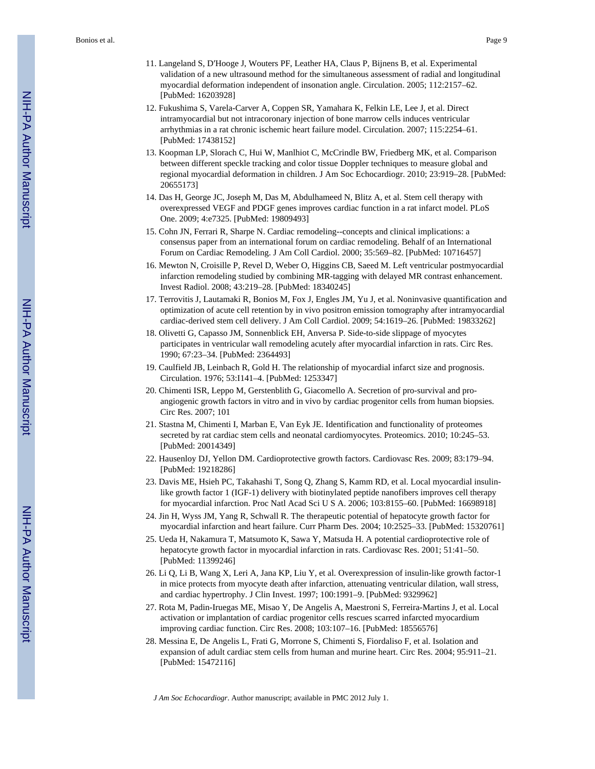- 11. Langeland S, D′Hooge J, Wouters PF, Leather HA, Claus P, Bijnens B, et al. Experimental validation of a new ultrasound method for the simultaneous assessment of radial and longitudinal myocardial deformation independent of insonation angle. Circulation. 2005; 112:2157–62. [PubMed: 16203928]
- 12. Fukushima S, Varela-Carver A, Coppen SR, Yamahara K, Felkin LE, Lee J, et al. Direct intramyocardial but not intracoronary injection of bone marrow cells induces ventricular arrhythmias in a rat chronic ischemic heart failure model. Circulation. 2007; 115:2254–61. [PubMed: 17438152]
- 13. Koopman LP, Slorach C, Hui W, Manlhiot C, McCrindle BW, Friedberg MK, et al. Comparison between different speckle tracking and color tissue Doppler techniques to measure global and regional myocardial deformation in children. J Am Soc Echocardiogr. 2010; 23:919–28. [PubMed: 20655173]
- 14. Das H, George JC, Joseph M, Das M, Abdulhameed N, Blitz A, et al. Stem cell therapy with overexpressed VEGF and PDGF genes improves cardiac function in a rat infarct model. PLoS One. 2009; 4:e7325. [PubMed: 19809493]
- 15. Cohn JN, Ferrari R, Sharpe N. Cardiac remodeling--concepts and clinical implications: a consensus paper from an international forum on cardiac remodeling. Behalf of an International Forum on Cardiac Remodeling. J Am Coll Cardiol. 2000; 35:569–82. [PubMed: 10716457]
- 16. Mewton N, Croisille P, Revel D, Weber O, Higgins CB, Saeed M. Left ventricular postmyocardial infarction remodeling studied by combining MR-tagging with delayed MR contrast enhancement. Invest Radiol. 2008; 43:219–28. [PubMed: 18340245]
- 17. Terrovitis J, Lautamaki R, Bonios M, Fox J, Engles JM, Yu J, et al. Noninvasive quantification and optimization of acute cell retention by in vivo positron emission tomography after intramyocardial cardiac-derived stem cell delivery. J Am Coll Cardiol. 2009; 54:1619–26. [PubMed: 19833262]
- 18. Olivetti G, Capasso JM, Sonnenblick EH, Anversa P. Side-to-side slippage of myocytes participates in ventricular wall remodeling acutely after myocardial infarction in rats. Circ Res. 1990; 67:23–34. [PubMed: 2364493]
- 19. Caulfield JB, Leinbach R, Gold H. The relationship of myocardial infarct size and prognosis. Circulation. 1976; 53:I141–4. [PubMed: 1253347]
- 20. Chimenti ISR, Leppo M, Gerstenblith G, Giacomello A. Secretion of pro-survival and proangiogenic growth factors in vitro and in vivo by cardiac progenitor cells from human biopsies. Circ Res. 2007; 101
- 21. Stastna M, Chimenti I, Marban E, Van Eyk JE. Identification and functionality of proteomes secreted by rat cardiac stem cells and neonatal cardiomyocytes. Proteomics. 2010; 10:245–53. [PubMed: 20014349]
- 22. Hausenloy DJ, Yellon DM. Cardioprotective growth factors. Cardiovasc Res. 2009; 83:179–94. [PubMed: 19218286]
- 23. Davis ME, Hsieh PC, Takahashi T, Song Q, Zhang S, Kamm RD, et al. Local myocardial insulinlike growth factor 1 (IGF-1) delivery with biotinylated peptide nanofibers improves cell therapy for myocardial infarction. Proc Natl Acad Sci U S A. 2006; 103:8155–60. [PubMed: 16698918]
- 24. Jin H, Wyss JM, Yang R, Schwall R. The therapeutic potential of hepatocyte growth factor for myocardial infarction and heart failure. Curr Pharm Des. 2004; 10:2525–33. [PubMed: 15320761]
- 25. Ueda H, Nakamura T, Matsumoto K, Sawa Y, Matsuda H. A potential cardioprotective role of hepatocyte growth factor in myocardial infarction in rats. Cardiovasc Res. 2001; 51:41–50. [PubMed: 11399246]
- 26. Li Q, Li B, Wang X, Leri A, Jana KP, Liu Y, et al. Overexpression of insulin-like growth factor-1 in mice protects from myocyte death after infarction, attenuating ventricular dilation, wall stress, and cardiac hypertrophy. J Clin Invest. 1997; 100:1991–9. [PubMed: 9329962]
- 27. Rota M, Padin-Iruegas ME, Misao Y, De Angelis A, Maestroni S, Ferreira-Martins J, et al. Local activation or implantation of cardiac progenitor cells rescues scarred infarcted myocardium improving cardiac function. Circ Res. 2008; 103:107–16. [PubMed: 18556576]
- 28. Messina E, De Angelis L, Frati G, Morrone S, Chimenti S, Fiordaliso F, et al. Isolation and expansion of adult cardiac stem cells from human and murine heart. Circ Res. 2004; 95:911–21. [PubMed: 15472116]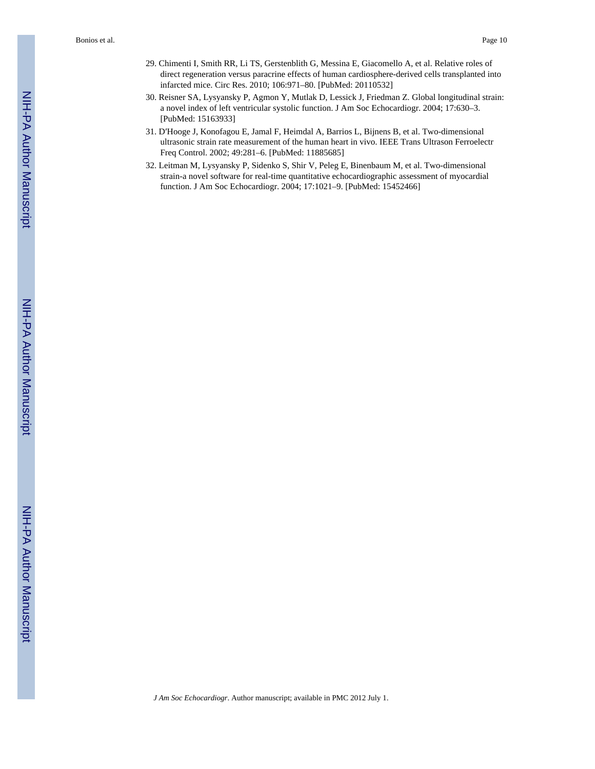- 29. Chimenti I, Smith RR, Li TS, Gerstenblith G, Messina E, Giacomello A, et al. Relative roles of direct regeneration versus paracrine effects of human cardiosphere-derived cells transplanted into infarcted mice. Circ Res. 2010; 106:971–80. [PubMed: 20110532]
- 30. Reisner SA, Lysyansky P, Agmon Y, Mutlak D, Lessick J, Friedman Z. Global longitudinal strain: a novel index of left ventricular systolic function. J Am Soc Echocardiogr. 2004; 17:630–3. [PubMed: 15163933]
- 31. D′Hooge J, Konofagou E, Jamal F, Heimdal A, Barrios L, Bijnens B, et al. Two-dimensional ultrasonic strain rate measurement of the human heart in vivo. IEEE Trans Ultrason Ferroelectr Freq Control. 2002; 49:281–6. [PubMed: 11885685]
- 32. Leitman M, Lysyansky P, Sidenko S, Shir V, Peleg E, Binenbaum M, et al. Two-dimensional strain-a novel software for real-time quantitative echocardiographic assessment of myocardial function. J Am Soc Echocardiogr. 2004; 17:1021–9. [PubMed: 15452466]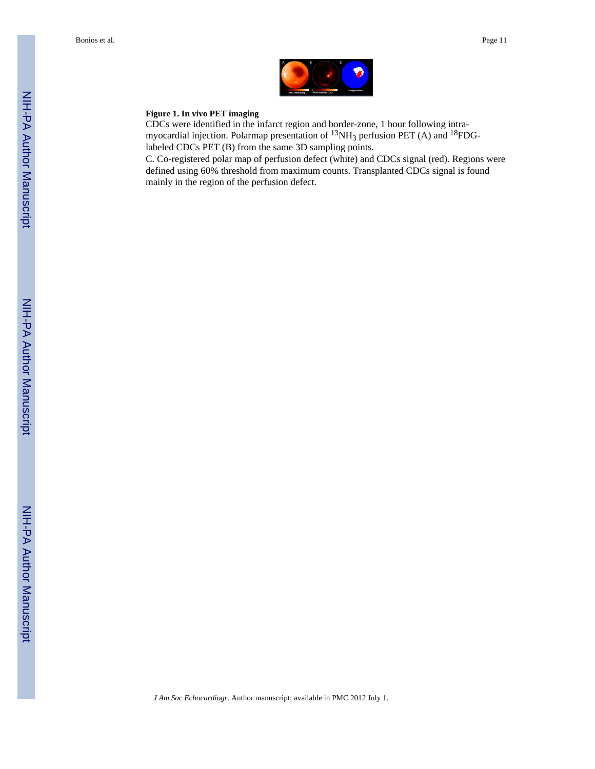

#### **Figure 1. In vivo PET imaging**

CDCs were identified in the infarct region and border-zone, 1 hour following intramyocardial injection. Polarmap presentation of <sup>13</sup>NH<sub>3</sub> perfusion PET (A) and <sup>18</sup>FDGlabeled CDCs PET (B) from the same 3D sampling points.

C. Co-registered polar map of perfusion defect (white) and CDCs signal (red). Regions were defined using 60% threshold from maximum counts. Transplanted CDCs signal is found mainly in the region of the perfusion defect.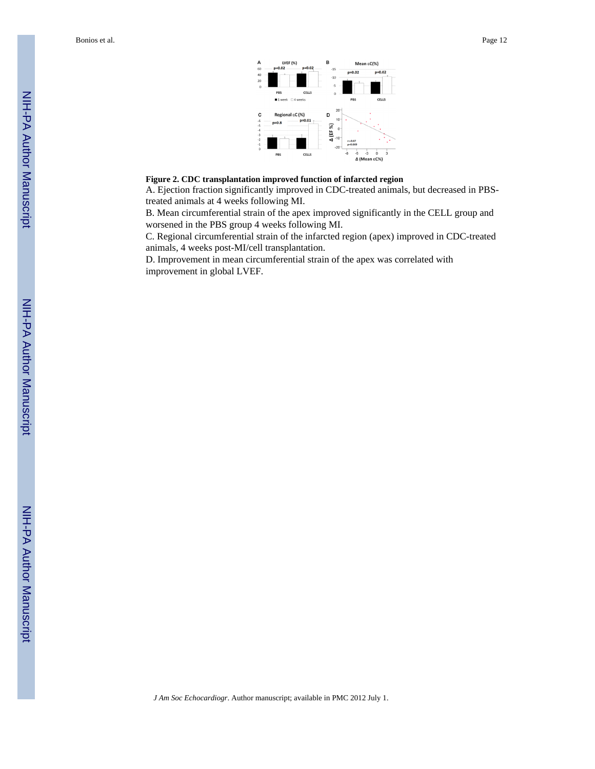Bonios et al. Page 12



#### **Figure 2. CDC transplantation improved function of infarcted region**

A. Ejection fraction significantly improved in CDC-treated animals, but decreased in PBStreated animals at 4 weeks following MI.

B. Mean circumferential strain of the apex improved significantly in the CELL group and worsened in the PBS group 4 weeks following MI.

C. Regional circumferential strain of the infarcted region (apex) improved in CDC-treated animals, 4 weeks post-MI/cell transplantation.

D. Improvement in mean circumferential strain of the apex was correlated with improvement in global LVEF.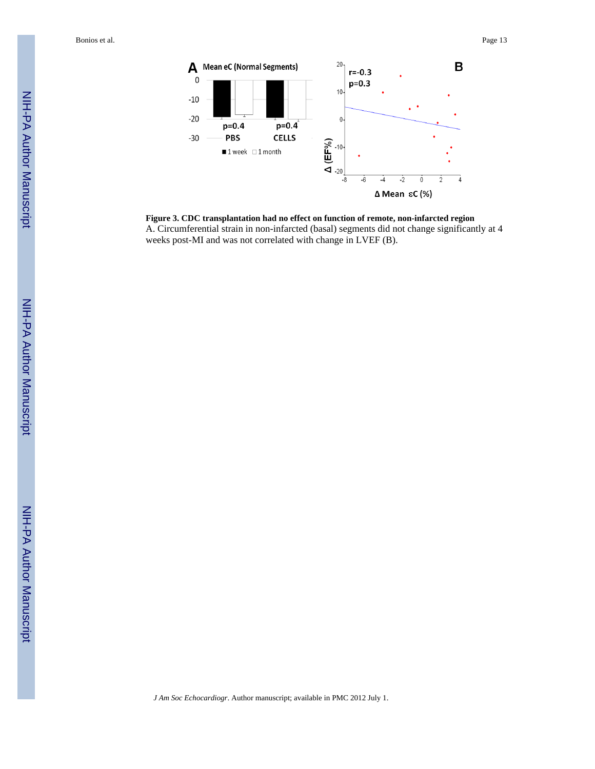Bonios et al. Page 13



**Figure 3. CDC transplantation had no effect on function of remote, non-infarcted region** A. Circumferential strain in non-infarcted (basal) segments did not change significantly at 4 weeks post-MI and was not correlated with change in LVEF (B).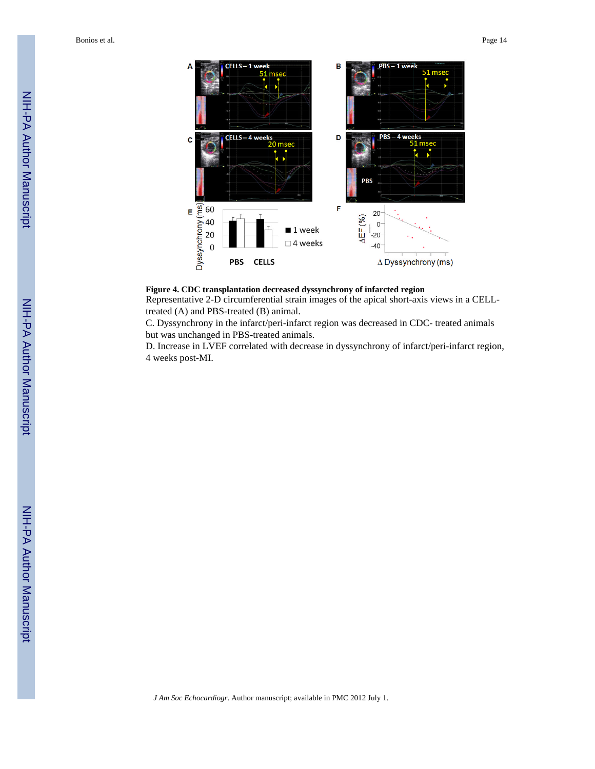Bonios et al. Page 14



#### **Figure 4. CDC transplantation decreased dyssynchrony of infarcted region**

Representative 2-D circumferential strain images of the apical short-axis views in a CELLtreated (A) and PBS-treated (B) animal.

C. Dyssynchrony in the infarct/peri-infarct region was decreased in CDC- treated animals but was unchanged in PBS-treated animals.

D. Increase in LVEF correlated with decrease in dyssynchrony of infarct/peri-infarct region, 4 weeks post-MI.